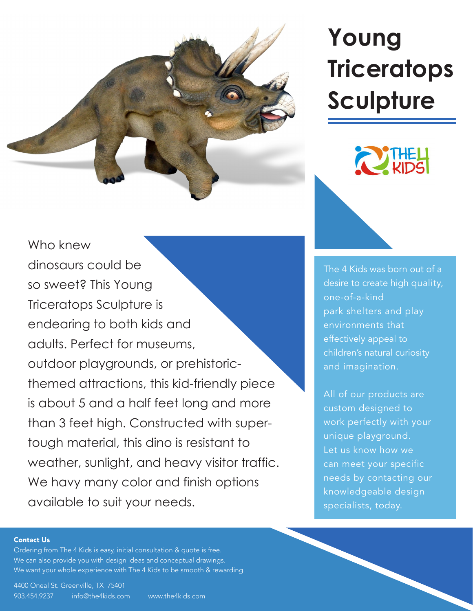

## Who knew dinosaurs could be so sweet? This Young Triceratops Sculpture is endearing to both kids and adults. Perfect for museums, outdoor playgrounds, or prehistoricthemed attractions, this kid-friendly piece is about 5 and a half feet long and more than 3 feet high. Constructed with supertough material, this dino is resistant to [weather, sunlight, and heavy visitor traffic.](https://www.the4kids.com/product/young-triceratops-sculpture.html)  We havy many color and finish options available to suit your needs.

# **Young [Triceratops](https://www.the4kids.com/products/prehistoric/)  Sculpture**



The 4 Kids was born out of a [desire to create high quality,](https://www.the4kids.com/about.html)  one-of-a-kind park shelters and play environments that effectively appeal to children's natural curiosity and imagination.

All of our products are custom designed to work perfectly with your unique playground. Let us know how we can meet your specific needs by contacting our knowledgeable design specialists, today.

#### [Contact Us](https://www.the4kids.com/contact-us.html)

Ordering fro[m The 4 Kids](https://www.the4kids.com/) is easy, initial consultation & quote is free. We can also provide you with design ideas and conceptual drawings. We want your whole experience with [The 4 Kids](https://www.the4kids.com/) to be smooth & rewarding.

[4400 Oneal St. Greenville, TX 75401](https://www.the4kids.com/contact-us.html) [903.454.9237](https://www.the4kids.com/contact-us.html) [info@the4kids.com](mailto:info%40the4kids.com?subject=) [www.the4kids.com](https://www.the4kids.com/)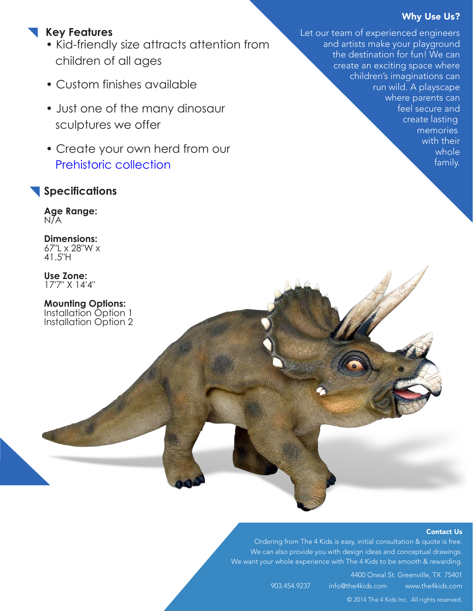### Why Use Us?

family.

## **Key Features**

- Kid-friendly size attracts attention from children of all ages
- Custom finishes available
- Just one of the many dinosaur sculptures we offer
- Create your own herd from our [Prehistoric collection](https://www.the4kids.com/products/prehistoric/)

### **Specifications**

**Age Range:**  N/A

**Dimensions:**  67"L x 28"W x 41.5"H

**Use Zone:**  17'7" X 14'4"

**Mounting Options:** [Installation Option 1](https://the4kids.com/doc/S4K-001.pdf) [Installation Option 2](https://the4kids.com/doc/S4K-002.pdf) Let our team of experienced engineers and artists make your playground the destination for fun! We can create an exciting space where children's imaginations can run wild. A playscape where parents can feel secure and create lasting memories with their whole

#### [Contact Us](https://www.the4kids.com/contact-us.html)

Ordering from [The 4 Kids](https://www.the4kids.com/) is easy, initial consultation & quote is free. We can also provide you with design ideas and conceptual drawings. We want your whole experience with [The 4 Kids t](https://www.the4kids.com/)o be smooth & rewarding.

> [4400 Oneal St. Greenville, TX 75401](https://www.the4kids.com/contact-us.html) [903.454.9237](https://www.the4kids.com/contact-us.html) [info@the4kids.com](mailto:info%40the4kids.com?subject=) [www.the4kids.com](https://www.the4kids.com/)

[© 2014 The 4 Kids Inc. All rights reserved.](https://www.the4kids.com/)